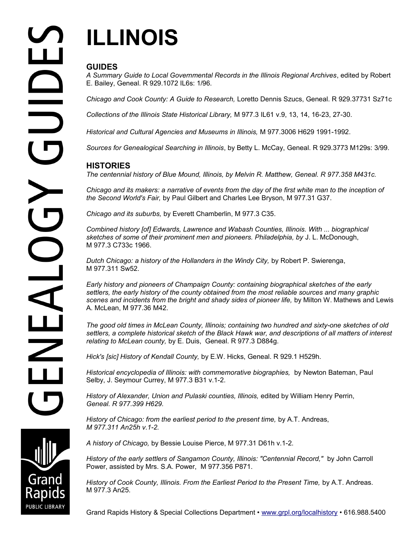**PUBLIC LIBRARY** 

# **ILLINOIS**

## **GUIDES**

*A Summary Guide to Local Governmental Records in the Illinois Regional Archives*, edited by Robert E. Bailey, Geneal. R 929.1072 IL6s: 1/96.

*Chicago and Cook County: A Guide to Research,* Loretto Dennis Szucs, Geneal. R 929.37731 Sz71c

*Collections of the Illinois State Historical Library,* M 977.3 IL61 v.9, 13, 14, 16-23, 27-30.

*Historical and Cultural Agencies and Museums in Illinois,* M 977.3006 H629 1991-1992.

*Sources for Genealogical Searching in Illinois*, by Betty L. McCay, Geneal. R 929.3773 M129s: 3/99.

### **HISTORIES**

*The centennial history of Blue Mound, Illinois, by Melvin R. Matthew, Geneal. R 977.358 M431c.*

*Chicago and its makers: a narrative of events from the day of the first white man to the inception of the Second World's Fair,* by Paul Gilbert and Charles Lee Bryson, M 977.31 G37.

*Chicago and its suburbs,* by Everett Chamberlin, M 977.3 C35.

*Combined history [of] Edwards, Lawrence and Wabash Counties, Illinois. With ... biographical*  sketches of some of their prominent men and pioneers. Philadelphia, by J. L. McDonough, M 977.3 C733c 1966.

*Dutch Chicago: a history of the Hollanders in the Windy City,* by Robert P. Swierenga, M 977.311 Sw52.

*Early history and pioneers of Champaign County: containing biographical sketches of the early settlers, the early history of the county obtained from the most reliable sources and many graphic scenes and incidents from the bright and shady sides of pioneer life,* by Milton W. Mathews and Lewis A. McLean, M 977.36 M42.

*The good old times in McLean County, Illinois; containing two hundred and sixty-one sketches of old settlers, a complete historical sketch of the Black Hawk war, and descriptions of all matters of interest relating to McLean county,* by E. Duis, Geneal. R 977.3 D884g.

*Hick's [sic] History of Kendall County,* by E.W. Hicks, Geneal. R 929.1 H529h.

*Historical encyclopedia of Illinois: with commemorative biographies,* by Newton Bateman, Paul Selby, J. Seymour Currey, M 977.3 B31 v.1-2.

*History of Alexander, Union and Pulaski counties, Illinois,* edited by William Henry Perrin, *Geneal. R 977.399 H629.* 

*History of Chicago: from the earliest period to the present time,* by A.T. Andreas, *M 977.311 An25h v.1-2.* 

*A history of Chicago,* by Bessie Louise Pierce, M 977.31 D61h v.1-2.

*History of the early settlers of Sangamon County, Illinois: "Centennial Record,"* by John Carroll Power, assisted by Mrs. S.A. Power,M 977.356 P871.

History of Cook County, Illinois. From the Earliest Period to the Present Time, by A.T. Andreas. M 977.3 An25.

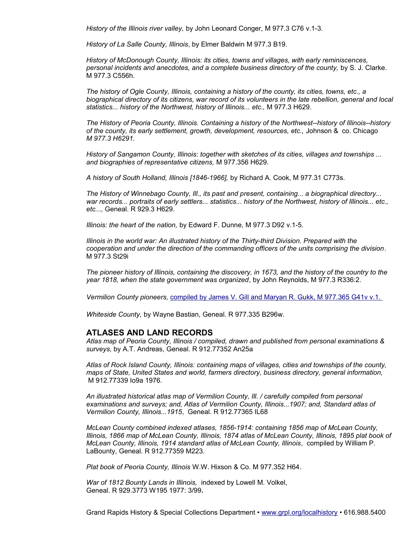*History of the Illinois river valley,* by John Leonard Conger, M 977.3 C76 v.1-3.

*History of La Salle County, Illinois*, by Elmer Baldwin M 977.3 B19.

*History of McDonough County, Illinois: its cities, towns and villages, with early reminiscences, personal incidents and anecdotes, and a complete business directory of the county,* by S. J. Clarke. M 977.3 C556h.

*The history of Ogle County, Illinois, containing a history of the county, its cities, towns, etc., a biographical directory of its citizens, war record of its volunteers in the late rebellion, general and local statistics... history of the Northwest, history of Illinois... etc.,* M 977.3 H629.

*The History of Peoria County, Illinois. Containing a history of the Northwest--history of Illinois--history of the county, its early settlement, growth, development, resources, etc.,* Johnson & co. Chicago *M 977.3 H6291.* 

*History of Sangamon County, Illinois: together with sketches of its cities, villages and townships ... and biographies of representative citizens,* M 977.356 H629.

*A history of South Holland, Illinois [1846-1966],* by Richard A. Cook, M 977.31 C773s.

*The History of Winnebago County, Ill., its past and present, containing... a biographical directory... war records... portraits of early settlers... statistics... history of the Northwest, history of Illinois... etc., etc...,* Geneal. R 929.3 H629.

*Illinois: the heart of the nation,* by Edward F. Dunne, M 977.3 D92 v.1-5.

*Illinois in the world war: An illustrated history of the Thirty-third Division. Prepared with the cooperation and under the direction of the commanding officers of the units comprising the division*. M 977.3 St29i

*The pioneer history of Illinois, containing the discovery, in 1673, and the history of the country to the year 1818, when the state government was organized*, by John Reynolds, M 977.3 R336:2.

*Vermilion County pioneers,* compiled by James V. Gill and Maryan R. Gukk, M 977.365 G41v v.1.

*Whiteside County,* by Wayne Bastian, Geneal. R 977.335 B296w.

#### **ATLASES AND LAND RECORDS**

*Atlas map of Peoria County, Illinois / compiled, drawn and published from personal examinations & surveys,* by A.T. Andreas, Geneal. R 912.77352 An25a

*Atlas of Rock Island County, Illinois: containing maps of villages, cities and townships of the county, maps of State, United States and world, farmers directory, business directory, general information,* M 912.77339 Io9a 1976.

*An illustrated historical atlas map of Vermilion County, Ill. / carefully compiled from personal examinations and surveys; and, Atlas of Vermilion County, Illinois...1907; and, Standard atlas of Vermilion County, Illinois...1915*, Geneal. R 912.77365 IL68

*McLean County combined indexed atlases, 1856-1914: containing 1856 map of McLean County, Illinois, 1866 map of McLean County, Illinois, 1874 atlas of McLean County, Illinois, 1895 plat book of McLean County, Illinois, 1914 standard atlas of McLean County, Illinois*, compiled by William P. LaBounty, Geneal. R 912.77359 M223.

*Plat book of Peoria County, Illinois* W.W. Hixson & Co. M 977.352 H64.

*War of 1812 Bounty Lands in Illinois,* indexed by Lowell M. Volkel, Geneal. R 929.3773 W195 1977: 3/99**.**